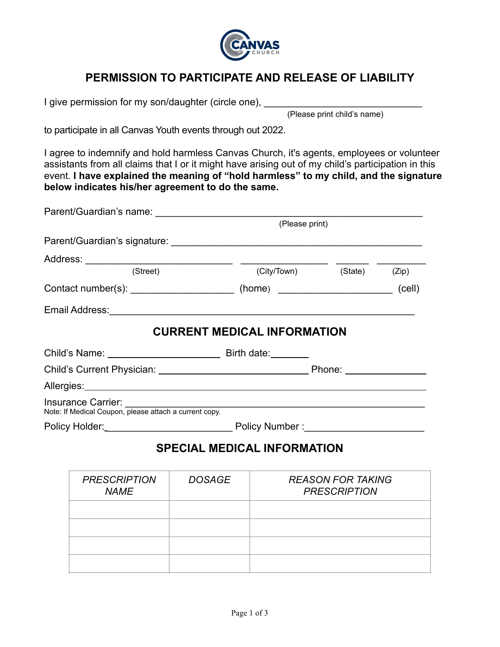

## **PERMISSION TO PARTICIPATE AND RELEASE OF LIABILITY**

I give permission for my son/daughter (circle one), \_\_\_\_\_\_\_\_\_\_\_\_\_\_\_\_\_\_\_\_\_\_\_\_\_\_\_\_

(Please print child's name)

to participate in all Canvas Youth events through out 2022.

I agree to indemnify and hold harmless Canvas Church, it's agents, employees or volunteer assistants from all claims that I or it might have arising out of my child's participation in this event. **I have explained the meaning of "hold harmless" to my child, and the signature below indicates his/her agreement to do the same.**

|                           | (Please print)                                                                         |  |  |  |  |
|---------------------------|----------------------------------------------------------------------------------------|--|--|--|--|
|                           |                                                                                        |  |  |  |  |
|                           |                                                                                        |  |  |  |  |
| (Street)                  | (City/Town) (State) (Zip)                                                              |  |  |  |  |
|                           | Contact number(s): _________________________(home) _____________________________(cell) |  |  |  |  |
|                           |                                                                                        |  |  |  |  |
|                           | <b>CURRENT MEDICAL INFORMATION</b>                                                     |  |  |  |  |
| Child's Name: Birth date: |                                                                                        |  |  |  |  |
|                           |                                                                                        |  |  |  |  |
|                           |                                                                                        |  |  |  |  |
|                           |                                                                                        |  |  |  |  |
|                           |                                                                                        |  |  |  |  |
|                           | <b>SPECIAL MEDICAL INFORMATION</b>                                                     |  |  |  |  |

| <b>PRESCRIPTION</b><br><b>NAME</b> | <b>DOSAGE</b> | <b>REASON FOR TAKING</b><br><b>PRESCRIPTION</b> |
|------------------------------------|---------------|-------------------------------------------------|
|                                    |               |                                                 |
|                                    |               |                                                 |
|                                    |               |                                                 |
|                                    |               |                                                 |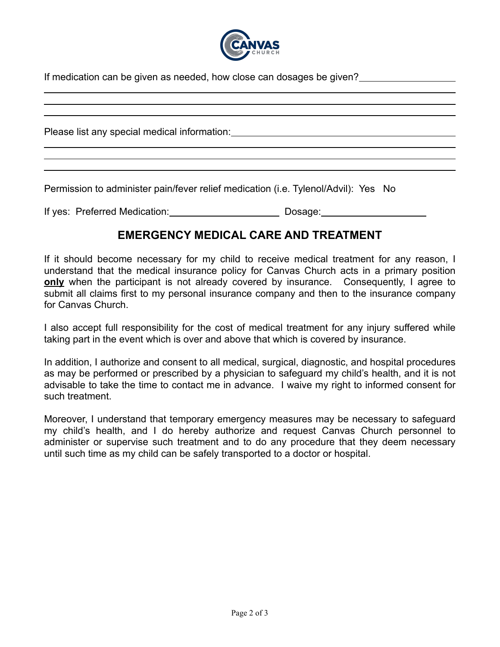

If medication can be given as needed, how close can dosages be given?

| Please list any special medical information: Notified the state of the state of the state of the state of the state of the state of the state of the state of the state of the state of the state of the state of the state of |
|--------------------------------------------------------------------------------------------------------------------------------------------------------------------------------------------------------------------------------|
|                                                                                                                                                                                                                                |
| Permission to administer pain/fever relief medication (i.e. Tylenol/Advil): Yes No                                                                                                                                             |

If yes: Preferred Medication: Dosage:

## **EMERGENCY MEDICAL CARE AND TREATMENT**

If it should become necessary for my child to receive medical treatment for any reason, I understand that the medical insurance policy for Canvas Church acts in a primary position **only** when the participant is not already covered by insurance. Consequently, I agree to submit all claims first to my personal insurance company and then to the insurance company for Canvas Church.

I also accept full responsibility for the cost of medical treatment for any injury suffered while taking part in the event which is over and above that which is covered by insurance.

In addition, I authorize and consent to all medical, surgical, diagnostic, and hospital procedures as may be performed or prescribed by a physician to safeguard my child's health, and it is not advisable to take the time to contact me in advance. I waive my right to informed consent for such treatment.

Moreover, I understand that temporary emergency measures may be necessary to safeguard my child's health, and I do hereby authorize and request Canvas Church personnel to administer or supervise such treatment and to do any procedure that they deem necessary until such time as my child can be safely transported to a doctor or hospital.